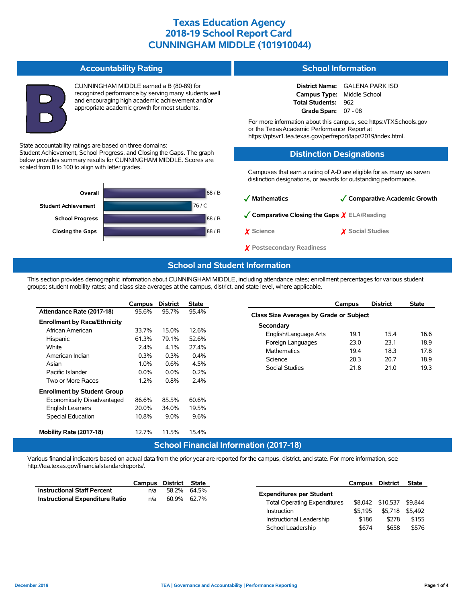#### **Accountability Rating**

Student Achievement, School Progress, and Closing the Gaps. The graph below provides summary results for CUNNINGHAM MIDDLE. Scores are

State accountability ratings are based on three domains:

scaled from 0 to 100 to align with letter grades.

CUNNINGHAM MIDDLE earned a B (80-89) for recognized performance by serving many students well and encouraging high academic achievement and/or appropriate academic growth for most students.

## **School Information**

**District Name:** GALENA PARK ISD **Campus Type:** Middle School **Total Students:** 962 **Grade Span:** 07 - 08

For more information about this campus, see https://TXSchools.gov or the TexasAcademic Performance Report at https://rptsvr1.tea.texas.gov/perfreport/tapr/2019/index.html.

#### **Distinction Designations**

Campuses that earn a rating of A-D are eligible for as many as seven distinction designations, or awards for outstanding performance.



# ✓ **Mathematics** ✓**Comparative Academic Growth** ✓**Comparative Closing the Gaps** ✗ **ELA/Reading** ✗ **Science** ✗ **Social Studies** ✗ **Postsecondary Readiness**

## **School and Student Information**

This section provides demographic information about CUNNINGHAM MIDDLE, including attendance rates; enrollment percentages for various student groups; student mobility rates; and class size averages at the campus, district, and state level, where applicable.

|                                     | Campus  | <b>District</b> | <b>State</b> |
|-------------------------------------|---------|-----------------|--------------|
| Attendance Rate (2017-18)           | 95.6%   | 95.7%           | 95.4%        |
| <b>Enrollment by Race/Ethnicity</b> |         |                 |              |
| African American                    | 33.7%   | 15.0%           | 12.6%        |
| Hispanic                            | 61.3%   | 79.1%           | 52.6%        |
| White                               | $2.4\%$ | 4.1%            | 27.4%        |
| American Indian                     | 0.3%    | 0.3%            | $0.4\%$      |
| Asian                               | 1.0%    | 0.6%            | 4.5%         |
| Pacific Islander                    | $0.0\%$ | $0.0\%$         | 0.2%         |
| Two or More Races                   | 1.2%    | $0.8\%$         | 2.4%         |
| <b>Enrollment by Student Group</b>  |         |                 |              |
| Economically Disadvantaged          | 86.6%   | 85.5%           | 60.6%        |
| <b>English Learners</b>             | 20.0%   | 34.0%           | 19.5%        |
| <b>Special Education</b>            | 10.8%   | $9.0\%$         | $9.6\%$      |
| Mobility Rate (2017-18)             | 12.7%   | 11.5%           | 15.4%        |
|                                     |         | Calcar Cart     |              |

|                                         | Campus | <b>District</b> | <b>State</b> |  |  |  |  |  |  |
|-----------------------------------------|--------|-----------------|--------------|--|--|--|--|--|--|
| Class Size Averages by Grade or Subject |        |                 |              |  |  |  |  |  |  |
| Secondary                               |        |                 |              |  |  |  |  |  |  |
| English/Language Arts                   | 19.1   | 15.4            | 16.6         |  |  |  |  |  |  |
| Foreign Languages                       | 23.0   | 23.1            | 18.9         |  |  |  |  |  |  |
| <b>Mathematics</b>                      | 194    | 18.3            | 178          |  |  |  |  |  |  |
| Science                                 | 20.3   | 20.7            | 18.9         |  |  |  |  |  |  |
| Social Studies                          | 21.8   | 21.0            | 19.3         |  |  |  |  |  |  |
|                                         |        |                 |              |  |  |  |  |  |  |

## **School Financial Information (2017-18)**

Various financial indicators based on actual data from the prior year are reported for the campus, district, and state. For more information, see http://tea.texas.gov/financialstandardreports/.

|                                        | Campus | District | State                    |                                     | Campus  | <b>District</b> |         |
|----------------------------------------|--------|----------|--------------------------|-------------------------------------|---------|-----------------|---------|
| <b>Instructional Staff Percent</b>     | n/a    | 58.2%    | 64.5%                    | <b>Expenditures per Student</b>     |         |                 |         |
| <b>Instructional Expenditure Ratio</b> | n/a    | 60.9%    | 62.7%                    | <b>Total Operating Expenditures</b> |         | \$10.537        | \$9.844 |
|                                        |        |          |                          | Instruction                         | \$5.195 | \$5,718 \$5,492 |         |
|                                        |        |          | Instructional Leadership | \$186                               | \$278   |                 |         |
|                                        |        |          |                          | School Leadership                   | \$674   | \$658           |         |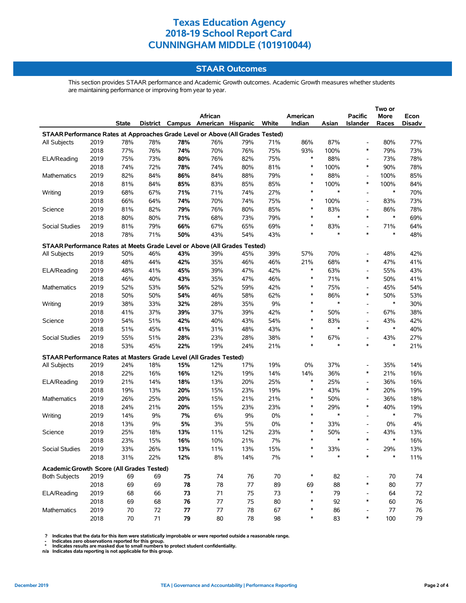### **STAAR Outcomes**

This section provides STAAR performance and Academic Growth outcomes. Academic Growth measures whether students are maintaining performance or improving from year to year.

|                                                                                    |      |       |     |     | African                           |     |       | American |               | <b>Pacific</b>                     | More          | Econ   |
|------------------------------------------------------------------------------------|------|-------|-----|-----|-----------------------------------|-----|-------|----------|---------------|------------------------------------|---------------|--------|
|                                                                                    |      | State |     |     | District Campus American Hispanic |     | White | Indian   | Asian         | <b>Islander</b>                    | Races         | Disadv |
| STAAR Performance Rates at Approaches Grade Level or Above (All Grades Tested)     |      |       |     |     |                                   |     |       |          |               |                                    |               |        |
| All Subjects                                                                       | 2019 | 78%   | 78% | 78% | 76%                               | 79% | 71%   | 86%      | 87%           |                                    | 80%           | 77%    |
|                                                                                    | 2018 | 77%   | 76% | 74% | 70%                               | 76% | 75%   | 93%      | 100%          | $\ast$                             | 79%           | 73%    |
| ELA/Reading                                                                        | 2019 | 75%   | 73% | 80% | 76%                               | 82% | 75%   | $\ast$   | 88%           | $\overline{\phantom{a}}$           | 73%           | 78%    |
|                                                                                    | 2018 | 74%   | 72% | 78% | 74%                               | 80% | 81%   | $\ast$   | 100%          | $\ast$                             | 90%           | 78%    |
| Mathematics                                                                        | 2019 | 82%   | 84% | 86% | 84%                               | 88% | 79%   | ∗        | 88%           | $\overline{a}$                     | 100%          | 85%    |
|                                                                                    | 2018 | 81%   | 84% | 85% | 83%                               | 85% | 85%   | $\ast$   | 100%          | $\ast$                             | 100%          | 84%    |
| Writing                                                                            | 2019 | 68%   | 67% | 71% | 71%                               | 74% | 27%   | $\ast$   | $\ast$        | $\overline{a}$                     | $\ast$        | 70%    |
|                                                                                    | 2018 | 66%   | 64% | 74% | 70%                               | 74% | 75%   | $\ast$   | 100%          | $\overline{a}$                     | 83%           | 73%    |
| Science                                                                            | 2019 | 81%   | 82% | 79% | 76%                               | 80% | 85%   | $\ast$   | 83%           | $\overline{a}$                     | 86%           | 78%    |
|                                                                                    | 2018 | 80%   | 80% | 71% | 68%                               | 73% | 79%   | $\ast$   | $\ast$        | $\ast$                             | $\ast$        | 69%    |
| Social Studies                                                                     | 2019 | 81%   | 79% | 66% | 67%                               | 65% | 69%   | ∗        | 83%           | $\overline{a}$                     | 71%           | 64%    |
|                                                                                    | 2018 | 78%   | 71% | 50% | 43%                               | 54% | 43%   | $\ast$   | $\ast$        | $\ast$                             | $\ast$        | 48%    |
|                                                                                    |      |       |     |     |                                   |     |       |          |               |                                    |               |        |
| STAAR Performance Rates at Meets Grade Level or Above (All Grades Tested)          |      |       |     |     |                                   |     |       |          |               |                                    |               |        |
| All Subjects                                                                       | 2019 | 50%   | 46% | 43% | 39%                               | 45% | 39%   | 57%      | 70%           | $\overline{a}$                     | 48%           | 42%    |
|                                                                                    | 2018 | 48%   | 44% | 42% | 35%                               | 46% | 46%   | 21%      | 68%           | $\ast$                             | 47%           | 41%    |
| ELA/Reading                                                                        | 2019 | 48%   | 41% | 45% | 39%                               | 47% | 42%   | $\ast$   | 63%           | $\overline{\phantom{a}}$           | 55%           | 43%    |
|                                                                                    | 2018 | 46%   | 40% | 43% | 35%                               | 47% | 46%   | $\ast$   | 71%           | $\ast$                             | 50%           | 41%    |
| Mathematics                                                                        | 2019 | 52%   | 53% | 56% | 52%                               | 59% | 42%   | $\ast$   | 75%           | $\overline{a}$                     | 45%           | 54%    |
|                                                                                    | 2018 | 50%   | 50% | 54% | 46%                               | 58% | 62%   | $\ast$   | 86%           | $\ast$                             | 50%           | 53%    |
| Writing                                                                            | 2019 | 38%   | 33% | 32% | 28%                               | 35% | 9%    | $\ast$   | $\ast$        | $\overline{\phantom{a}}$           | $\ast$        | 30%    |
|                                                                                    | 2018 | 41%   | 37% | 39% | 37%                               | 39% | 42%   | $\ast$   | 50%           | $\overline{\phantom{a}}$           | 67%           | 38%    |
| Science                                                                            | 2019 | 54%   | 51% | 42% | 40%                               | 43% | 54%   | $\ast$   | 83%           | $\overline{\phantom{a}}$           | 43%           | 42%    |
|                                                                                    | 2018 | 51%   | 45% | 41% | 31%                               | 48% | 43%   | $\ast$   | $\ast$        | $\ast$                             | $\ast$        | 40%    |
| Social Studies                                                                     | 2019 | 55%   | 51% | 28% | 23%                               | 28% | 38%   | $\ast$   | 67%           | $\overline{a}$                     | 43%           | 27%    |
|                                                                                    | 2018 | 53%   | 45% | 22% | 19%                               | 24% | 21%   | $\ast$   | $\ast$        | $\ast$                             | $\ast$        | 21%    |
|                                                                                    |      |       |     |     |                                   |     |       |          |               |                                    |               |        |
| STAAR Performance Rates at Masters Grade Level (All Grades Tested)<br>All Subjects | 2019 | 24%   | 18% | 15% | 12%                               | 17% | 19%   | 0%       | 37%           | $\overline{a}$                     | 35%           | 14%    |
|                                                                                    | 2018 | 22%   | 16% | 16% | 12%                               | 19% | 14%   | 14%      | 36%           | $\ast$                             | 21%           | 16%    |
|                                                                                    |      |       |     |     |                                   |     |       | ∗        |               |                                    |               |        |
| ELA/Reading                                                                        | 2019 | 21%   | 14% | 18% | 13%                               | 20% | 25%   | $\ast$   | 25%           | $\overline{a}$<br>$\ast$           | 36%           | 16%    |
|                                                                                    | 2018 | 19%   | 13% | 20% | 15%                               | 23% | 19%   | $\ast$   | 43%           |                                    | 20%           | 19%    |
| Mathematics                                                                        | 2019 | 26%   | 25% | 20% | 15%                               | 21% | 21%   | $\ast$   | 50%           | $\overline{\phantom{a}}$<br>$\ast$ | 36%           | 18%    |
|                                                                                    | 2018 | 24%   | 21% | 20% | 15%                               | 23% | 23%   | $\ast$   | 29%<br>$\ast$ |                                    | 40%<br>$\ast$ | 19%    |
| Writing                                                                            | 2019 | 14%   | 9%  | 7%  | 6%                                | 9%  | 0%    |          |               |                                    |               | 7%     |
|                                                                                    | 2018 | 13%   | 9%  | 5%  | 3%                                | 5%  | 0%    | $\ast$   | 33%           | $\overline{\phantom{a}}$           | 0%            | 4%     |
| Science                                                                            | 2019 | 25%   | 18% | 13% | 11%                               | 12% | 23%   | $\ast$   | 50%           | $\overline{\phantom{a}}$           | 43%           | 13%    |
|                                                                                    | 2018 | 23%   | 15% | 16% | 10%                               | 21% | 7%    | $\ast$   | $\ast$        | $\ast$                             | $\ast$        | 16%    |
| Social Studies                                                                     | 2019 | 33%   | 26% | 13% | 11%                               | 13% | 15%   |          | 33%           |                                    | 29%           | 13%    |
|                                                                                    | 2018 | 31%   | 22% | 12% | $8\%$                             | 14% | 7%    |          | $\ast$        | $\ast$                             | $\ast$        | 11%    |
| Academic Growth Score (All Grades Tested)                                          |      |       |     |     |                                   |     |       |          |               |                                    |               |        |
| <b>Both Subjects</b>                                                               | 2019 | 69    | 69  | 75  | 74                                | 76  | 70    | $\ast$   | 82            | $\overline{\phantom{a}}$           | 70            | 74     |
|                                                                                    | 2018 | 69    | 69  | 78  | 78                                | 77  | 89    | 69       | 88            | $\ast$                             | 80            | 77     |
| ELA/Reading                                                                        | 2019 | 68    | 66  | 73  | 71                                | 75  | 73    | $\ast$   | 79            | $\overline{\phantom{a}}$           | 64            | 72     |
|                                                                                    | 2018 | 69    | 68  | 76  | 77                                | 75  | 80    | ∗        | 92            | $\ast$                             | 60            | 76     |
| Mathematics                                                                        | 2019 | 70    | 72  | 77  | 77                                | 78  | 67    |          | 86            |                                    | 77            | 76     |
|                                                                                    | 2018 | 70    | 71  | 79  | 80                                | 78  | 98    | $\ast$   | 83            | *                                  | 100           | 79     |
|                                                                                    |      |       |     |     |                                   |     |       |          |               |                                    |               |        |

? Indicates that the data for this item were statistically improbable or were reported outside a reasonable range.<br>- Indicates zero observations reported for this group.<br>\* Indicates results are masked due to small numbers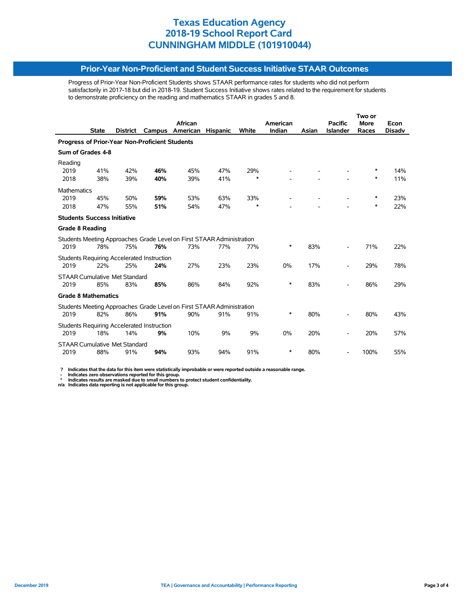#### **Prior-Year Non-Proficient and Student Success Initiative STAAR Outcomes**

Progress of Prior-Year Non-Proficient Students shows STAAR performance rates for students who did not perform satisfactorily in 2017-18 but did in 2018-19. Student Success Initiative shows rates related to the requirement for students to demonstrate proficiency on the reading and mathematics STAAR in grades 5 and 8.

|                                                |              |                 |                                            | <b>African</b>                                                        |                 |        | American |       | <b>Pacific</b>  | <b>More</b> | Econ          |  |  |
|------------------------------------------------|--------------|-----------------|--------------------------------------------|-----------------------------------------------------------------------|-----------------|--------|----------|-------|-----------------|-------------|---------------|--|--|
|                                                | <b>State</b> | <b>District</b> | Campus                                     | American                                                              | <b>Hispanic</b> | White  | Indian   | Asian | <b>Islander</b> | Races       | <b>Disadv</b> |  |  |
| Progress of Prior-Year Non-Proficient Students |              |                 |                                            |                                                                       |                 |        |          |       |                 |             |               |  |  |
| Sum of Grades 4-8                              |              |                 |                                            |                                                                       |                 |        |          |       |                 |             |               |  |  |
| Reading                                        |              |                 |                                            |                                                                       |                 |        |          |       |                 |             |               |  |  |
| 2019                                           | 41%          | 42%             | 46%                                        | 45%                                                                   | 47%             | 29%    |          |       |                 | ∗           | 14%           |  |  |
| 2018                                           | 38%          | 39%             | 40%                                        | 39%                                                                   | 41%             | $\ast$ |          |       |                 | $\ast$      | 11%           |  |  |
| <b>Mathematics</b>                             |              |                 |                                            |                                                                       |                 |        |          |       |                 |             |               |  |  |
| 2019                                           | 45%          | 50%             | 59%                                        | 53%                                                                   | 63%             | 33%    |          |       |                 | $\ast$      | 23%           |  |  |
| 2018                                           | 47%          | 55%             | 51%                                        | 54%                                                                   | 47%             | $\ast$ |          |       |                 | $\ast$      | 22%           |  |  |
| <b>Students Success Initiative</b>             |              |                 |                                            |                                                                       |                 |        |          |       |                 |             |               |  |  |
| <b>Grade 8 Reading</b>                         |              |                 |                                            |                                                                       |                 |        |          |       |                 |             |               |  |  |
|                                                |              |                 |                                            | Students Meeting Approaches Grade Level on First STAAR Administration |                 |        |          |       |                 |             |               |  |  |
| 2019                                           | 78%          | 75%             | 76%                                        | 73%                                                                   | 77%             | 77%    | *        | 83%   |                 | 71%         | 22%           |  |  |
|                                                |              |                 | Students Requiring Accelerated Instruction |                                                                       |                 |        |          |       |                 |             |               |  |  |
| 2019                                           | 22%          | 25%             | 24%                                        | 27%                                                                   | 23%             | 23%    | 0%       | 17%   |                 | 29%         | 78%           |  |  |
| <b>STAAR Cumulative Met Standard</b>           |              |                 |                                            |                                                                       |                 |        |          |       |                 |             |               |  |  |
| 2019                                           | 85%          | 83%             | 85%                                        | 86%                                                                   | 84%             | 92%    | *        | 83%   |                 | 86%         | 29%           |  |  |
| <b>Grade 8 Mathematics</b>                     |              |                 |                                            |                                                                       |                 |        |          |       |                 |             |               |  |  |
|                                                |              |                 |                                            | Students Meeting Approaches Grade Level on First STAAR Administration |                 |        |          |       |                 |             |               |  |  |
| 2019                                           | 82%          | 86%             | 91%                                        | 90%                                                                   | 91%             | 91%    | *        | 80%   |                 | 80%         | 43%           |  |  |
|                                                |              |                 | Students Requiring Accelerated Instruction |                                                                       |                 |        |          |       |                 |             |               |  |  |
| 2019                                           | 18%          | 14%             | 9%                                         | 10%                                                                   | 9%              | 9%     | 0%       | 20%   |                 | 20%         | 57%           |  |  |
| <b>STAAR Cumulative Met Standard</b>           |              |                 |                                            |                                                                       |                 |        |          |       |                 |             |               |  |  |
| 2019                                           | 88%          | 91%             | 94%                                        | 93%                                                                   | 94%             | 91%    | *        | 80%   |                 | 100%        | 55%           |  |  |
|                                                |              |                 |                                            |                                                                       |                 |        |          |       |                 |             |               |  |  |

 **? Indicates that the data for this item were statistically improbable or were reported outside a reasonable range.**

- Indicates zero observations reported for this group.<br>\* Indicates results are masked due to small numbers to protect student confidentiality.<br>n/a Indicates data reporting is not applicable for this group.

l,